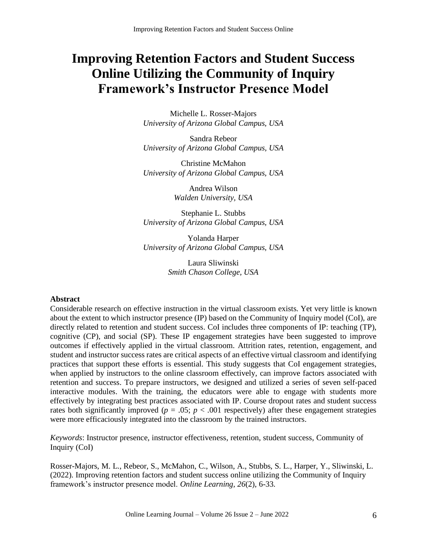# **Improving Retention Factors and Student Success Online Utilizing the Community of Inquiry Framework's Instructor Presence Model**

Michelle L. Rosser-Majors *University of Arizona Global Campus, USA*

Sandra Rebeor *University of Arizona Global Campus, USA*

Christine McMahon *University of Arizona Global Campus, USA*

> Andrea Wilson *Walden University, USA*

Stephanie L. Stubbs *University of Arizona Global Campus, USA*

Yolanda Harper *University of Arizona Global Campus, USA*

> Laura Sliwinski *Smith Chason College, USA*

# **Abstract**

Considerable research on effective instruction in the virtual classroom exists. Yet very little is known about the extent to which instructor presence (IP) based on the Community of Inquiry model (CoI), are directly related to retention and student success. CoI includes three components of IP: teaching (TP), cognitive (CP), and social (SP). These IP engagement strategies have been suggested to improve outcomes if effectively applied in the virtual classroom. Attrition rates, retention, engagement, and student and instructor success rates are critical aspects of an effective virtual classroom and identifying practices that support these efforts is essential. This study suggests that CoI engagement strategies, when applied by instructors to the online classroom effectively, can improve factors associated with retention and success. To prepare instructors, we designed and utilized a series of seven self-paced interactive modules. With the training, the educators were able to engage with students more effectively by integrating best practices associated with IP. Course dropout rates and student success rates both significantly improved ( $p = .05$ ;  $p < .001$  respectively) after these engagement strategies were more efficaciously integrated into the classroom by the trained instructors.

*Keywords*: Instructor presence, instructor effectiveness, retention, student success, Community of Inquiry (CoI)

Rosser-Majors, M. L., Rebeor, S., McMahon, C., Wilson, A., Stubbs, S. L., Harper, Y., Sliwinski, L. (2022). Improving retention factors and student success online utilizing the Community of Inquiry framework's instructor presence model. *Online Learning, 26*(2), 6-33.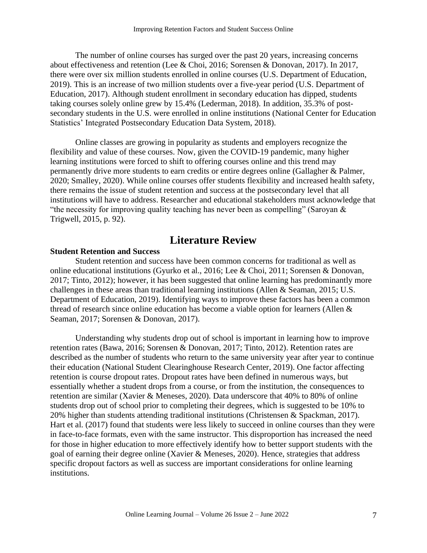The number of online courses has surged over the past 20 years, increasing concerns about effectiveness and retention (Lee & Choi, 2016; Sorensen & Donovan, 2017). In 2017, there were over six million students enrolled in online courses (U.S. Department of Education, 2019). This is an increase of two million students over a five-year period (U.S. Department of Education, 2017). Although student enrollment in secondary education has dipped, students taking courses solely online grew by 15.4% (Lederman, 2018). In addition, 35.3% of postsecondary students in the U.S. were enrolled in online institutions (National Center for Education Statistics' Integrated Postsecondary Education Data System, 2018).

Online classes are growing in popularity as students and employers recognize the flexibility and value of these courses. Now, given the COVID-19 pandemic, many higher learning institutions were forced to shift to offering courses online and this trend may permanently drive more students to earn credits or entire degrees online (Gallagher & Palmer, 2020; Smalley, 2020). While online courses offer students flexibility and increased health safety, there remains the issue of student retention and success at the postsecondary level that all institutions will have to address. Researcher and educational stakeholders must acknowledge that "the necessity for improving quality teaching has never been as compelling" (Saroyan  $\&$ Trigwell, 2015, p. 92).

# **Literature Review**

# **Student Retention and Success**

Student retention and success have been common concerns for traditional as well as online educational institutions (Gyurko et al., 2016; Lee & Choi, 2011; Sorensen & Donovan, 2017; Tinto, 2012); however, it has been suggested that online learning has predominantly more challenges in these areas than traditional learning institutions (Allen & Seaman, 2015; U.S. Department of Education, 2019). Identifying ways to improve these factors has been a common thread of research since online education has become a viable option for learners (Allen & Seaman, 2017; Sorensen & Donovan, 2017).

Understanding why students drop out of school is important in learning how to improve retention rates (Bawa, 2016; Sorensen & Donovan, 2017; Tinto, 2012). Retention rates are described as the number of students who return to the same university year after year to continue their education (National Student Clearinghouse Research Center, 2019). One factor affecting retention is course dropout rates. Dropout rates have been defined in numerous ways, but essentially whether a student drops from a course, or from the institution, the consequences to retention are similar (Xavier & Meneses, 2020). Data underscore that 40% to 80% of online students drop out of school prior to completing their degrees, which is suggested to be 10% to 20% higher than students attending traditional institutions (Christensen & Spackman, 2017). Hart et al. (2017) found that students were less likely to succeed in online courses than they were in face-to-face formats, even with the same instructor. This disproportion has increased the need for those in higher education to more effectively identify how to better support students with the goal of earning their degree online (Xavier & Meneses, 2020). Hence, strategies that address specific dropout factors as well as success are important considerations for online learning institutions.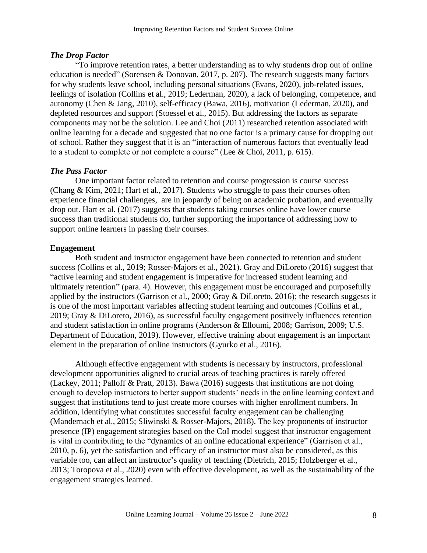#### *The Drop Factor*

"To improve retention rates, a better understanding as to why students drop out of online education is needed" (Sorensen & Donovan, 2017, p. 207). The research suggests many factors for why students leave school, including personal situations (Evans, 2020), job-related issues, feelings of isolation (Collins et al., 2019; Lederman, 2020), a lack of belonging, competence, and autonomy (Chen & Jang, 2010), self-efficacy (Bawa, 2016), motivation (Lederman, 2020), and depleted resources and support (Stoessel et al., 2015). But addressing the factors as separate components may not be the solution. Lee and Choi (2011) researched retention associated with online learning for a decade and suggested that no one factor is a primary cause for dropping out of school. Rather they suggest that it is an "interaction of numerous factors that eventually lead to a student to complete or not complete a course" (Lee & Choi, 2011, p. 615).

#### *The Pass Factor*

One important factor related to retention and course progression is course success (Chang & Kim, 2021; Hart et al., 2017). Students who struggle to pass their courses often experience financial challenges, are in jeopardy of being on academic probation, and eventually drop out. Hart et al. (2017) suggests that students taking courses online have lower course success than traditional students do, further supporting the importance of addressing how to support online learners in passing their courses.

#### **Engagement**

Both student and instructor engagement have been connected to retention and student success (Collins et al., 2019; Rosser-Majors et al., 2021). Gray and DiLoreto (2016) suggest that "active learning and student engagement is imperative for increased student learning and ultimately retention" (para. 4). However, this engagement must be encouraged and purposefully applied by the instructors (Garrison et al., 2000; Gray & DiLoreto, 2016); the research suggests it is one of the most important variables affecting student learning and outcomes (Collins et al., 2019; Gray & DiLoreto, 2016), as successful faculty engagement positively influences retention and student satisfaction in online programs (Anderson & Elloumi, 2008; Garrison, 2009; U.S. Department of Education, 2019). However, effective training about engagement is an important element in the preparation of online instructors (Gyurko et al., 2016).

Although effective engagement with students is necessary by instructors, professional development opportunities aligned to crucial areas of teaching practices is rarely offered (Lackey, 2011; Palloff & Pratt, 2013). Bawa (2016) suggests that institutions are not doing enough to develop instructors to better support students' needs in the online learning context and suggest that institutions tend to just create more courses with higher enrollment numbers. In addition, identifying what constitutes successful faculty engagement can be challenging (Mandernach et al., 2015; Sliwinski & Rosser-Majors, 2018). The key proponents of instructor presence (IP) engagement strategies based on the CoI model suggest that instructor engagement is vital in contributing to the "dynamics of an online educational experience" (Garrison et al., 2010, p. 6), yet the satisfaction and efficacy of an instructor must also be considered, as this variable too, can affect an instructor's quality of teaching (Dietrich, 2015; Holzberger et al., 2013; Toropova et al., 2020) even with effective development, as well as the sustainability of the engagement strategies learned.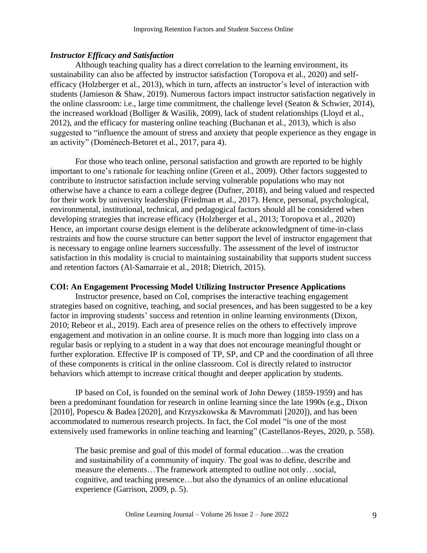## *Instructor Efficacy and Satisfaction*

Although teaching quality has a direct correlation to the learning environment, its sustainability can also be affected by instructor satisfaction (Toropova et al., 2020) and selfefficacy (Holzberger et al., 2013), which in turn, affects an instructor's level of interaction with students (Jamieson & Shaw, 2019). Numerous factors impact instructor satisfaction negatively in the online classroom: i.e., large time commitment, the challenge level (Seaton & Schwier, 2014), the increased workload (Bolliger & Wasilik, 2009), lack of student relationships (Lloyd et al., 2012), and the efficacy for mastering online teaching (Buchanan et al., 2013), which is also suggested to "influence the amount of stress and anxiety that people experience as they engage in an activity" (Doménech-Betoret et al., 2017, para 4).

For those who teach online, personal satisfaction and growth are reported to be highly important to one's rationale for teaching online (Green et al., 2009). Other factors suggested to contribute to instructor satisfaction include serving vulnerable populations who may not otherwise have a chance to earn a college degree (Dufner, 2018), and being valued and respected for their work by university leadership (Friedman et al., 2017). Hence, personal, psychological, environmental, institutional, technical, and pedagogical factors should all be considered when developing strategies that increase efficacy (Holzberger et al., 2013; Toropova et al., 2020) Hence, an important course design element is the deliberate acknowledgment of time-in-class restraints and how the course structure can better support the level of instructor engagement that is necessary to engage online learners successfully. The assessment of the level of instructor satisfaction in this modality is crucial to maintaining sustainability that supports student success and retention factors (Al-Samarraie et al., 2018; Dietrich, 2015).

#### **COI: An Engagement Processing Model Utilizing Instructor Presence Applications**

Instructor presence, based on CoI, comprises the interactive teaching engagement strategies based on cognitive, teaching, and social presences, and has been suggested to be a key factor in improving students' success and retention in online learning environments (Dixon, 2010; Rebeor et al., 2019). Each area of presence relies on the others to effectively improve engagement and motivation in an online course. It is much more than logging into class on a regular basis or replying to a student in a way that does not encourage meaningful thought or further exploration. Effective IP is composed of TP, SP, and CP and the coordination of all three of these components is critical in the online classroom. CoI is directly related to instructor behaviors which attempt to increase critical thought and deeper application by students.

IP based on CoI, is founded on the seminal work of John Dewey (1859-1959) and has been a predominant foundation for research in online learning since the late 1990s (e.g., Dixon [2010], Popescu & Badea [2020], and Krzyszkowska & Mavrommati [2020]), and has been accommodated to numerous research projects. In fact, the CoI model "is one of the most extensively used frameworks in online teaching and learning" (Castellanos-Reyes, 2020, p. 558).

The basic premise and goal of this model of formal education…was the creation and sustainability of a community of inquiry. The goal was to define, describe and measure the elements…The framework attempted to outline not only…social, cognitive, and teaching presence…but also the dynamics of an online educational experience (Garrison, 2009, p. 5).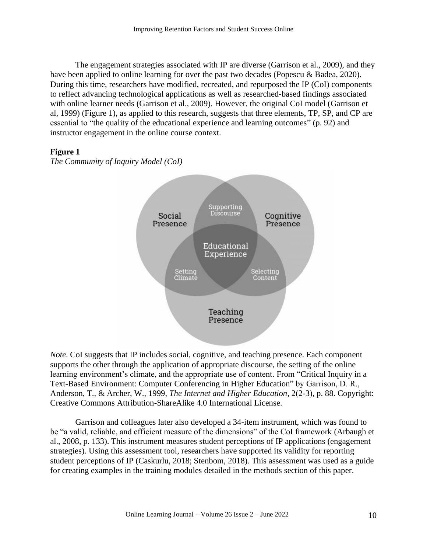The engagement strategies associated with IP are diverse (Garrison et al., 2009), and they have been applied to online learning for over the past two decades (Popescu & Badea, 2020). During this time, researchers have modified, recreated, and repurposed the IP (CoI) components to reflect advancing technological applications as well as researched-based findings associated with online learner needs (Garrison et al., 2009). However, the original CoI model (Garrison et al, 1999) (Figure 1), as applied to this research, suggests that three elements, TP, SP, and CP are essential to "the quality of the educational experience and learning outcomes" (p. 92) and instructor engagement in the online course context.

# **Figure 1**

*The Community of Inquiry Model (CoI)*



*Note*. CoI suggests that IP includes social, cognitive, and teaching presence. Each component supports the other through the application of appropriate discourse, the setting of the online learning environment's climate, and the appropriate use of content. From "Critical Inquiry in a Text-Based Environment: Computer Conferencing in Higher Education" by Garrison, D. R., Anderson, T., & Archer, W., 1999, *The Internet and Higher Education*, 2(2-3), p. 88. Copyright: Creative Commons Attribution-ShareAlike 4.0 International License.

Garrison and colleagues later also developed a 34-item instrument, which was found to be "a valid, reliable, and efficient measure of the dimensions" of the CoI framework (Arbaugh et al., 2008, p. 133). This instrument measures student perceptions of IP applications (engagement strategies). Using this assessment tool, researchers have supported its validity for reporting student perceptions of IP (Caskurlu, 2018; Stenbom, 2018). This assessment was used as a guide for creating examples in the training modules detailed in the methods section of this paper.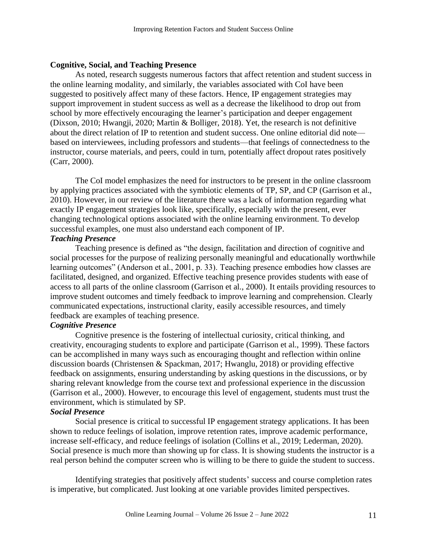#### **Cognitive, Social, and Teaching Presence**

As noted, research suggests numerous factors that affect retention and student success in the online learning modality, and similarly, the variables associated with CoI have been suggested to positively affect many of these factors. Hence, IP engagement strategies may support improvement in student success as well as a decrease the likelihood to drop out from school by more effectively encouraging the learner's participation and deeper engagement (Dixson, 2010; Hwangji, 2020; Martin & Bolliger, 2018). Yet, the research is not definitive about the direct relation of IP to retention and student success. One online editorial did note based on interviewees, including professors and students—that feelings of connectedness to the instructor, course materials, and peers, could in turn, potentially affect dropout rates positively (Carr, 2000).

The CoI model emphasizes the need for instructors to be present in the online classroom by applying practices associated with the symbiotic elements of TP, SP, and CP (Garrison et al., 2010). However, in our review of the literature there was a lack of information regarding what exactly IP engagement strategies look like, specifically, especially with the present, ever changing technological options associated with the online learning environment. To develop successful examples, one must also understand each component of IP.

# *Teaching Presence*

Teaching presence is defined as "the design, facilitation and direction of cognitive and social processes for the purpose of realizing personally meaningful and educationally worthwhile learning outcomes" (Anderson et al., 2001, p. 33). Teaching presence embodies how classes are facilitated, designed, and organized. Effective teaching presence provides students with ease of access to all parts of the online classroom (Garrison et al., 2000). It entails providing resources to improve student outcomes and timely feedback to improve learning and comprehension. Clearly communicated expectations, instructional clarity, easily accessible resources, and timely feedback are examples of teaching presence.

# *Cognitive Presence*

Cognitive presence is the fostering of intellectual curiosity, critical thinking, and creativity, encouraging students to explore and participate (Garrison et al., 1999). These factors can be accomplished in many ways such as encouraging thought and reflection within online discussion boards (Christensen & Spackman, 2017; Hwanglu, 2018) or providing effective feedback on assignments, ensuring understanding by asking questions in the discussions, or by sharing relevant knowledge from the course text and professional experience in the discussion (Garrison et al., 2000). However, to encourage this level of engagement, students must trust the environment, which is stimulated by SP.

# *Social Presence*

Social presence is critical to successful IP engagement strategy applications. It has been shown to reduce feelings of isolation, improve retention rates, improve academic performance, increase self-efficacy, and reduce feelings of isolation (Collins et al., 2019; Lederman, 2020). Social presence is much more than showing up for class. It is showing students the instructor is a real person behind the computer screen who is willing to be there to guide the student to success.

Identifying strategies that positively affect students' success and course completion rates is imperative, but complicated. Just looking at one variable provides limited perspectives.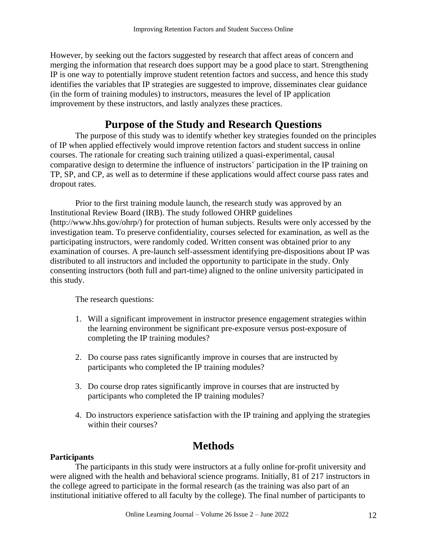However, by seeking out the factors suggested by research that affect areas of concern and merging the information that research does support may be a good place to start. Strengthening IP is one way to potentially improve student retention factors and success, and hence this study identifies the variables that IP strategies are suggested to improve, disseminates clear guidance (in the form of training modules) to instructors, measures the level of IP application improvement by these instructors, and lastly analyzes these practices.

# **Purpose of the Study and Research Questions**

The purpose of this study was to identify whether key strategies founded on the principles of IP when applied effectively would improve retention factors and student success in online courses. The rationale for creating such training utilized a quasi-experimental, causal comparative design to determine the influence of instructors' participation in the IP training on TP, SP, and CP, as well as to determine if these applications would affect course pass rates and dropout rates.

Prior to the first training module launch, the research study was approved by an Institutional Review Board (IRB). The study followed OHRP guidelines (http://www.hhs.gov/ohrp/) for protection of human subjects. Results were only accessed by the investigation team. To preserve confidentiality, courses selected for examination, as well as the participating instructors, were randomly coded. Written consent was obtained prior to any examination of courses. A pre-launch self-assessment identifying pre-dispositions about IP was distributed to all instructors and included the opportunity to participate in the study. Only consenting instructors (both full and part-time) aligned to the online university participated in this study.

The research questions:

- 1. Will a significant improvement in instructor presence engagement strategies within the learning environment be significant pre-exposure versus post-exposure of completing the IP training modules?
- 2. Do course pass rates significantly improve in courses that are instructed by participants who completed the IP training modules?
- 3. Do course drop rates significantly improve in courses that are instructed by participants who completed the IP training modules?
- 4. Do instructors experience satisfaction with the IP training and applying the strategies within their courses?

# **Methods**

# **Participants**

The participants in this study were instructors at a fully online for-profit university and were aligned with the health and behavioral science programs. Initially, 81 of 217 instructors in the college agreed to participate in the formal research (as the training was also part of an institutional initiative offered to all faculty by the college). The final number of participants to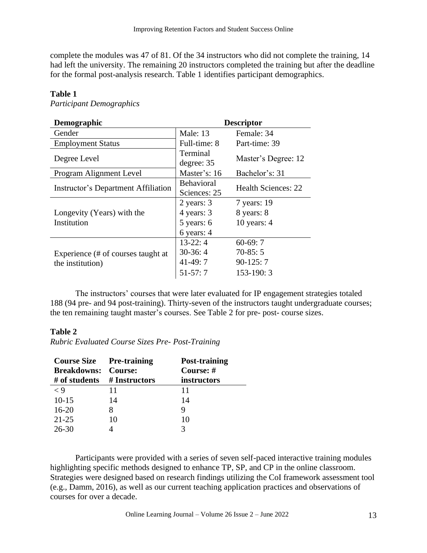complete the modules was 47 of 81. Of the 34 instructors who did not complete the training, 14 had left the university. The remaining 20 instructors completed the training but after the deadline for the formal post-analysis research. Table 1 identifies participant demographics.

# **Table 1**

*Participant Demographics*

| Demographic                                            | <b>Descriptor</b>                                    |                                                       |  |
|--------------------------------------------------------|------------------------------------------------------|-------------------------------------------------------|--|
| Gender                                                 | <b>Male: 13</b>                                      | Female: 34                                            |  |
| <b>Employment Status</b>                               | Full-time: 8                                         | Part-time: 39                                         |  |
| Degree Level                                           | Terminal<br>degree: 35                               | Master's Degree: 12                                   |  |
| Program Alignment Level                                | Master's: 16                                         | Bachelor's: 31                                        |  |
| <b>Instructor's Department Affiliation</b>             | <b>Behavioral</b><br>Sciences: 25                    | <b>Health Sciences: 22</b>                            |  |
| Longevity (Years) with the<br>Institution              | 2 years: 3<br>4 years: 3<br>5 years: 6<br>6 years: 4 | 7 years: 19<br>8 years: 8<br>10 years: $4$            |  |
| Experience (# of courses taught at<br>the institution) | $13-22:4$<br>$30-36:4$<br>$41-49:7$<br>$51-57:7$     | $60-69:7$<br>$70-85:5$<br>$90-125:7$<br>$153 - 190:3$ |  |

The instructors' courses that were later evaluated for IP engagement strategies totaled 188 (94 pre- and 94 post-training). Thirty-seven of the instructors taught undergraduate courses; the ten remaining taught master's courses. See Table 2 for pre- post- course sizes.

# **Table 2**

*Rubric Evaluated Course Sizes Pre- Post-Training*

| <b>Course Size Pre-training</b> |    | Post-training |
|---------------------------------|----|---------------|
| <b>Breakdowns: Course:</b>      |    | Course: #     |
| # of students $#$ Instructors   |    | instructors   |
| $\langle 9$                     | 11 | 11            |
| $10-15$                         | 14 | 14            |
| $16 - 20$                       |    | Q             |
| $21 - 25$                       | 10 | 10            |
| 26-30                           |    |               |

Participants were provided with a series of seven self-paced interactive training modules highlighting specific methods designed to enhance TP, SP, and CP in the online classroom. Strategies were designed based on research findings utilizing the CoI framework assessment tool (e.g., Damm, 2016), as well as our current teaching application practices and observations of courses for over a decade.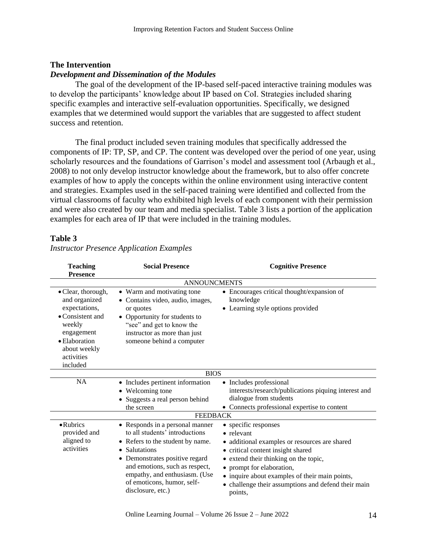#### **The Intervention**

#### *Development and Dissemination of the Modules*

The goal of the development of the IP-based self-paced interactive training modules was to develop the participants' knowledge about IP based on CoI. Strategies included sharing specific examples and interactive self-evaluation opportunities. Specifically, we designed examples that we determined would support the variables that are suggested to affect student success and retention.

The final product included seven training modules that specifically addressed the components of IP: TP, SP, and CP. The content was developed over the period of one year, using scholarly resources and the foundations of Garrison's model and assessment tool (Arbaugh et al., 2008) to not only develop instructor knowledge about the framework, but to also offer concrete examples of how to apply the concepts within the online environment using interactive content and strategies. Examples used in the self-paced training were identified and collected from the virtual classrooms of faculty who exhibited high levels of each component with their permission and were also created by our team and media specialist. Table 3 lists a portion of the application examples for each area of IP that were included in the training modules.

| <b>Teaching</b><br><b>Presence</b>                                                                                                                                  | <b>Social Presence</b>                                                                                                                                                                                                                                                         | <b>Cognitive Presence</b>                                                                                                                                                                                                                                                                                          |  |  |  |  |  |
|---------------------------------------------------------------------------------------------------------------------------------------------------------------------|--------------------------------------------------------------------------------------------------------------------------------------------------------------------------------------------------------------------------------------------------------------------------------|--------------------------------------------------------------------------------------------------------------------------------------------------------------------------------------------------------------------------------------------------------------------------------------------------------------------|--|--|--|--|--|
|                                                                                                                                                                     | <b>ANNOUNCMENTS</b>                                                                                                                                                                                                                                                            |                                                                                                                                                                                                                                                                                                                    |  |  |  |  |  |
| • Clear, thorough,<br>and organized<br>expectations,<br>$\bullet$ Consistent and<br>weekly<br>engagement<br>• Elaboration<br>about weekly<br>activities<br>included | • Warm and motivating tone<br>• Contains video, audio, images,<br>or quotes<br>• Opportunity for students to<br>"see" and get to know the<br>instructor as more than just<br>someone behind a computer                                                                         | • Encourages critical thought/expansion of<br>knowledge<br>• Learning style options provided                                                                                                                                                                                                                       |  |  |  |  |  |
|                                                                                                                                                                     | <b>BIOS</b>                                                                                                                                                                                                                                                                    |                                                                                                                                                                                                                                                                                                                    |  |  |  |  |  |
| <b>NA</b>                                                                                                                                                           | • Includes pertinent information<br>• Welcoming tone<br>• Suggests a real person behind<br>the screen                                                                                                                                                                          | • Includes professional<br>interests/research/publications piquing interest and<br>dialogue from students<br>• Connects professional expertise to content                                                                                                                                                          |  |  |  |  |  |
|                                                                                                                                                                     | <b>FEEDBACK</b>                                                                                                                                                                                                                                                                |                                                                                                                                                                                                                                                                                                                    |  |  |  |  |  |
| • Rubrics<br>provided and<br>aligned to<br>activities                                                                                                               | • Responds in a personal manner<br>to all students' introductions<br>• Refers to the student by name.<br>• Salutations<br>• Demonstrates positive regard<br>and emotions, such as respect,<br>empathy, and enthusiasm. (Use<br>of emoticons, humor, self-<br>disclosure, etc.) | • specific responses<br>• relevant<br>• additional examples or resources are shared<br>• critical content insight shared<br>• extend their thinking on the topic,<br>• prompt for elaboration,<br>• inquire about examples of their main points,<br>• challenge their assumptions and defend their main<br>points, |  |  |  |  |  |

# **Table 3**

# *Instructor Presence Application Examples*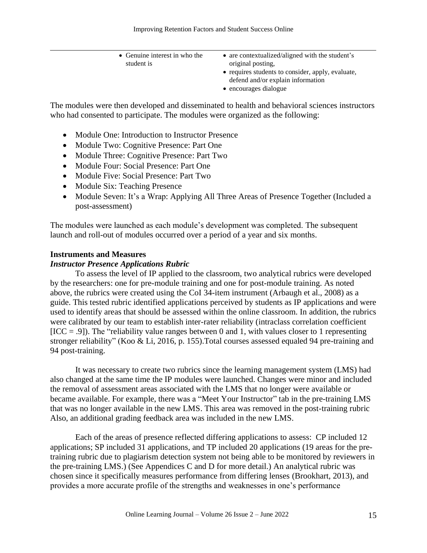| • Genuine interest in who the | • are contextualized/aligned with the student's   |
|-------------------------------|---------------------------------------------------|
| student is                    | original posting,                                 |
|                               | • requires students to consider, apply, evaluate, |
|                               | defend and/or explain information                 |
|                               | • encourages dialogue                             |

The modules were then developed and disseminated to health and behavioral sciences instructors who had consented to participate. The modules were organized as the following:

- Module One: Introduction to Instructor Presence
- Module Two: Cognitive Presence: Part One
- Module Three: Cognitive Presence: Part Two
- Module Four: Social Presence: Part One
- Module Five: Social Presence: Part Two
- Module Six: Teaching Presence
- Module Seven: It's a Wrap: Applying All Three Areas of Presence Together (Included a post-assessment)

The modules were launched as each module's development was completed. The subsequent launch and roll-out of modules occurred over a period of a year and six months.

#### **Instruments and Measures**

#### *Instructor Presence Applications Rubric*

To assess the level of IP applied to the classroom, two analytical rubrics were developed by the researchers: one for pre-module training and one for post-module training. As noted above, the rubrics were created using the CoI 34-item instrument (Arbaugh et al., 2008) as a guide. This tested rubric identified applications perceived by students as IP applications and were used to identify areas that should be assessed within the online classroom. In addition, the rubrics were calibrated by our team to establish inter-rater reliability (intraclass correlation coefficient  $[ICC = .9]$ ). The "reliability value ranges between 0 and 1, with values closer to 1 representing stronger reliability" (Koo & Li, 2016, p. 155).Total courses assessed equaled 94 pre-training and 94 post-training.

It was necessary to create two rubrics since the learning management system (LMS) had also changed at the same time the IP modules were launched. Changes were minor and included the removal of assessment areas associated with the LMS that no longer were available or became available. For example, there was a "Meet Your Instructor" tab in the pre-training LMS that was no longer available in the new LMS. This area was removed in the post-training rubric Also, an additional grading feedback area was included in the new LMS.

Each of the areas of presence reflected differing applications to assess: CP included 12 applications; SP included 31 applications, and TP included 20 applications (19 areas for the pretraining rubric due to plagiarism detection system not being able to be monitored by reviewers in the pre-training LMS.) (See Appendices C and D for more detail.) An analytical rubric was chosen since it specifically measures performance from differing lenses (Brookhart, 2013), and provides a more accurate profile of the strengths and weaknesses in one's performance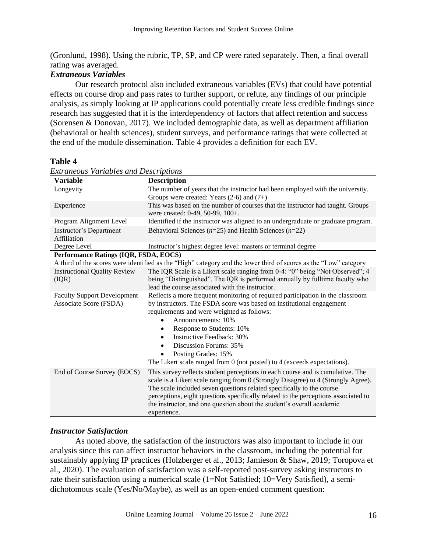(Gronlund, 1998). Using the rubric, TP, SP, and CP were rated separately. Then, a final overall rating was averaged.

# *Extraneous Variables*

Our research protocol also included extraneous variables (EVs) that could have potential effects on course drop and pass rates to further support, or refute, any findings of our principle analysis, as simply looking at IP applications could potentially create less credible findings since research has suggested that it is the interdependency of factors that affect retention and success (Sorensen & Donovan, 2017). We included demographic data, as well as department affiliation (behavioral or health sciences), student surveys, and performance ratings that were collected at the end of the module dissemination. Table 4 provides a definition for each EV.

# **Table 4**

| <b>Variable</b>                       | <b>Description</b>                                                                                                                                                  |
|---------------------------------------|---------------------------------------------------------------------------------------------------------------------------------------------------------------------|
| Longevity                             | The number of years that the instructor had been employed with the university.                                                                                      |
|                                       | Groups were created: Years $(2-6)$ and $(7+)$                                                                                                                       |
| Experience                            | This was based on the number of courses that the instructor had taught. Groups<br>were created: 0-49, 50-99, 100+.                                                  |
| Program Alignment Level               | Identified if the instructor was aligned to an undergraduate or graduate program.                                                                                   |
| Instructor's Department               | Behavioral Sciences ( $n=25$ ) and Health Sciences ( $n=22$ )                                                                                                       |
| Affiliation                           |                                                                                                                                                                     |
| Degree Level                          | Instructor's highest degree level: masters or terminal degree                                                                                                       |
| Performance Ratings (IQR, FSDA, EOCS) |                                                                                                                                                                     |
|                                       | A third of the scores were identified as the "High" category and the lower third of scores as the "Low" category                                                    |
| <b>Instructional Quality Review</b>   | The IQR Scale is a Likert scale ranging from 0-4: "0" being "Not Observed"; 4                                                                                       |
| (IQR)                                 | being "Distinguished". The IQR is performed annually by fulltime faculty who                                                                                        |
|                                       | lead the course associated with the instructor.                                                                                                                     |
| <b>Faculty Support Development</b>    | Reflects a more frequent monitoring of required participation in the classroom                                                                                      |
| Associate Score (FSDA)                | by instructors. The FSDA score was based on institutional engagement                                                                                                |
|                                       | requirements and were weighted as follows:                                                                                                                          |
|                                       | Announcements: 10%                                                                                                                                                  |
|                                       | Response to Students: 10%<br>$\bullet$                                                                                                                              |
|                                       | Instructive Feedback: 30%                                                                                                                                           |
|                                       | Discussion Forums: 35%                                                                                                                                              |
|                                       | Posting Grades: 15%                                                                                                                                                 |
|                                       | The Likert scale ranged from 0 (not posted) to 4 (exceeds expectations).                                                                                            |
| End of Course Survey (EOCS)           | This survey reflects student perceptions in each course and is cumulative. The<br>scale is a Likert scale ranging from 0 (Strongly Disagree) to 4 (Strongly Agree). |
|                                       | The scale included seven questions related specifically to the course                                                                                               |
|                                       | perceptions, eight questions specifically related to the perceptions associated to                                                                                  |
|                                       | the instructor, and one question about the student's overall academic                                                                                               |
|                                       | experience.                                                                                                                                                         |

*Extraneous Variables and Descriptions*

# *Instructor Satisfaction*

As noted above, the satisfaction of the instructors was also important to include in our analysis since this can affect instructor behaviors in the classroom, including the potential for sustainably applying IP practices (Holzberger et al., 2013; Jamieson & Shaw, 2019; Toropova et al., 2020). The evaluation of satisfaction was a self-reported post-survey asking instructors to rate their satisfaction using a numerical scale (1=Not Satisfied; 10=Very Satisfied), a semidichotomous scale (Yes/No/Maybe), as well as an open-ended comment question: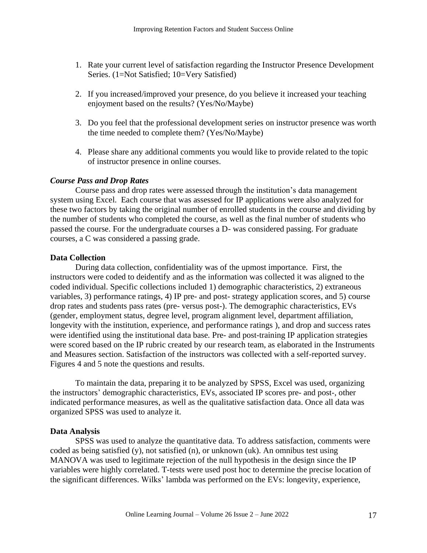- 1. Rate your current level of satisfaction regarding the Instructor Presence Development Series. (1=Not Satisfied; 10=Very Satisfied)
- 2. If you increased/improved your presence, do you believe it increased your teaching enjoyment based on the results? (Yes/No/Maybe)
- 3. Do you feel that the professional development series on instructor presence was worth the time needed to complete them? (Yes/No/Maybe)
- 4. Please share any additional comments you would like to provide related to the topic of instructor presence in online courses.

# *Course Pass and Drop Rates*

Course pass and drop rates were assessed through the institution's data management system using Excel. Each course that was assessed for IP applications were also analyzed for these two factors by taking the original number of enrolled students in the course and dividing by the number of students who completed the course, as well as the final number of students who passed the course. For the undergraduate courses a D- was considered passing. For graduate courses, a C was considered a passing grade.

# **Data Collection**

During data collection, confidentiality was of the upmost importance. First, the instructors were coded to deidentify and as the information was collected it was aligned to the coded individual. Specific collections included 1) demographic characteristics, 2) extraneous variables, 3) performance ratings, 4) IP pre- and post- strategy application scores, and 5) course drop rates and students pass rates (pre- versus post-). The demographic characteristics, EVs (gender, employment status, degree level, program alignment level, department affiliation, longevity with the institution, experience, and performance ratings ), and drop and success rates were identified using the institutional data base. Pre- and post-training IP application strategies were scored based on the IP rubric created by our research team, as elaborated in the Instruments and Measures section. Satisfaction of the instructors was collected with a self-reported survey. Figures 4 and 5 note the questions and results.

To maintain the data, preparing it to be analyzed by SPSS, Excel was used, organizing the instructors' demographic characteristics, EVs, associated IP scores pre- and post-, other indicated performance measures, as well as the qualitative satisfaction data. Once all data was organized SPSS was used to analyze it.

#### **Data Analysis**

SPSS was used to analyze the quantitative data. To address satisfaction, comments were coded as being satisfied (y), not satisfied (n), or unknown (uk). An omnibus test using MANOVA was used to legitimate rejection of the null hypothesis in the design since the IP variables were highly correlated. T-tests were used post hoc to determine the precise location of the significant differences. Wilks' lambda was performed on the EVs: longevity, experience,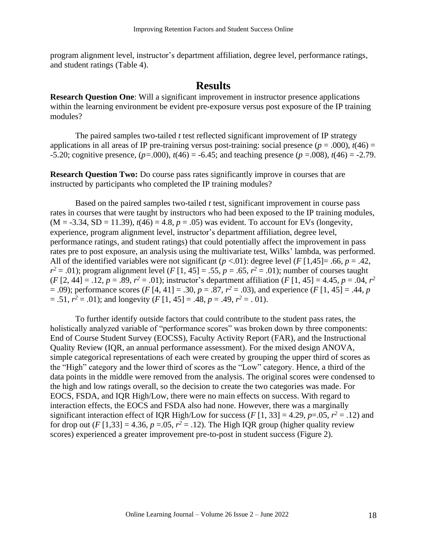program alignment level, instructor's department affiliation, degree level, performance ratings, and student ratings (Table 4).

# **Results**

**Research Question One**: Will a significant improvement in instructor presence applications within the learning environment be evident pre-exposure versus post exposure of the IP training modules?

The paired samples two-tailed *t* test reflected significant improvement of IP strategy applications in all areas of IP pre-training versus post-training: social presence  $(p = .000)$ ,  $t(46) =$  $-5.20$ ; cognitive presence,  $(p=.000)$ ,  $t(46) = -6.45$ ; and teaching presence  $(p=.008)$ ,  $t(46) = -2.79$ .

**Research Question Two:** Do course pass rates significantly improve in courses that are instructed by participants who completed the IP training modules?

Based on the paired samples two-tailed *t* test, significant improvement in course pass rates in courses that were taught by instructors who had been exposed to the IP training modules,  $(M = -3.34, SD = 11.39)$ ,  $t(46) = 4.8$ ,  $p = .05$ ) was evident. To account for EVs (longevity, experience, program alignment level, instructor's department affiliation, degree level, performance ratings, and student ratings) that could potentially affect the improvement in pass rates pre to post exposure, an analysis using the multivariate test, Wilks' lambda, was performed. All of the identified variables were not significant ( $p < 0.01$ ): degree level ( $F [1,45] = .66$ ,  $p = .42$ ,  $r^2 = .01$ ); program alignment level (*F* [1, 45] = .55, *p* = .65,  $r^2 = .01$ ); number of courses taught  $(F [2, 44] = .12, p = .89, r^2 = .01)$ ; instructor's department affiliation  $(F [1, 45] = 4.45, p = .04, r^2$  $(2, 0.09)$ ; performance scores (*F* [4, 41] = .30, *p* = .87,  $r^2$  = .03), and experience (*F* [1, 45] = .44, *p*  $=$  .51,  $r^2 = .01$ ); and longevity  $(F [1, 45] = .48, p = .49, r^2 = .01)$ .

To further identify outside factors that could contribute to the student pass rates, the holistically analyzed variable of "performance scores" was broken down by three components: End of Course Student Survey (EOCSS), Faculty Activity Report (FAR), and the Instructional Quality Review (IQR, an annual performance assessment). For the mixed design ANOVA, simple categorical representations of each were created by grouping the upper third of scores as the "High" category and the lower third of scores as the "Low" category. Hence, a third of the data points in the middle were removed from the analysis. The original scores were condensed to the high and low ratings overall, so the decision to create the two categories was made. For EOCS, FSDA, and IQR High/Low, there were no main effects on success. With regard to interaction effects, the EOCS and FSDA also had none. However, there was a marginally significant interaction effect of IQR High/Low for success ( $F$ [1, 33] = 4.29,  $p$ =.05,  $r^2$  = .12) and for drop out  $(F[1,33] = 4.36, p = .05, r^2 = .12)$ . The High IQR group (higher quality review scores) experienced a greater improvement pre-to-post in student success (Figure 2).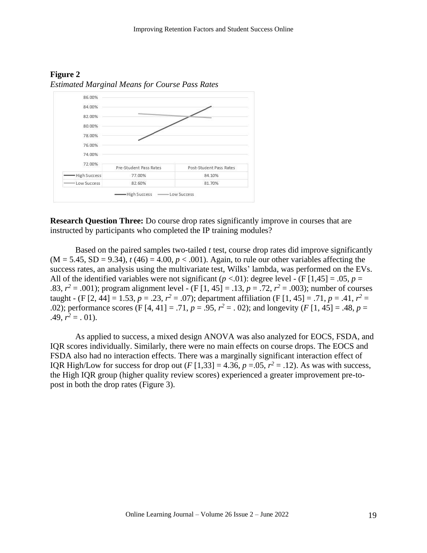

**Figure 2** *Estimated Marginal Means for Course Pass Rates*

**Research Question Three:** Do course drop rates significantly improve in courses that are instructed by participants who completed the IP training modules?

Based on the paired samples two-tailed *t* test, course drop rates did improve significantly  $(M = 5.45, SD = 9.34), t(46) = 4.00, p < .001$ . Again, to rule our other variables affecting the success rates, an analysis using the multivariate test, Wilks' lambda, was performed on the EVs. All of the identified variables were not significant ( $p < .01$ ): degree level - (F [1,45] = .05,  $p =$ .83,  $r^2 = .001$ ); program alignment level - (F [1, 45] = .13,  $p = .72$ ,  $r^2 = .003$ ); number of courses taught - (F [2, 44] = 1.53,  $p = .23$ ,  $r^2 = .07$ ); department affiliation (F [1, 45] = .71,  $p = .41$ ,  $r^2 =$ .02); performance scores (F [4, 41] = .71,  $p = .95$ ,  $r^2 = .02$ ); and longevity (F [1, 45] = .48,  $p = .02$ );  $.49, r^2 = .01$ .

As applied to success, a mixed design ANOVA was also analyzed for EOCS, FSDA, and IQR scores individually. Similarly, there were no main effects on course drops. The EOCS and FSDA also had no interaction effects. There was a marginally significant interaction effect of IQR High/Low for success for drop out  $(F [1, 33] = 4.36, p = .05, r^2 = .12)$ . As was with success, the High IQR group (higher quality review scores) experienced a greater improvement pre-topost in both the drop rates (Figure 3).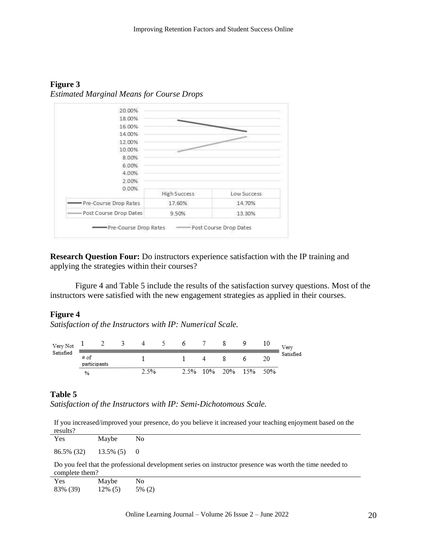**Figure 3** *Estimated Marginal Means for Course Drops*



**Research Question Four:** Do instructors experience satisfaction with the IP training and applying the strategies within their courses?

Figure 4 and Table 5 include the results of the satisfaction survey questions. Most of the instructors were satisfied with the new engagement strategies as applied in their courses.

# **Figure 4**

*Satisfaction of the Instructors with IP: Numerical Scale.*

| Very Not<br>Satisfied |                      |  |      | O    |     |         |       | Very      |
|-----------------------|----------------------|--|------|------|-----|---------|-------|-----------|
|                       | # of<br>participants |  |      |      |     |         | 20    | Satisfied |
|                       | %                    |  | 2.5% | 2.5% | 10% | 20% 15% | - 50% |           |

# **Table 5**

*Satisfaction of the Instructors with IP: Semi-Dichotomous Scale.*

If you increased/improved your presence, do you believe it increased your teaching enjoyment based on the results?

| <b>Yes</b>                   | Maybe    | N <sub>0</sub>                                                                                           |
|------------------------------|----------|----------------------------------------------------------------------------------------------------------|
| $86.5\%$ (32) $13.5\%$ (5) 0 |          |                                                                                                          |
| complete them?               |          | Do you feel that the professional development series on instructor presence was worth the time needed to |
| $V_{\alpha}$                 | $M$ avhe | NΩ                                                                                                       |

| Yes      | Maybe      | No.    |
|----------|------------|--------|
| 83% (39) | $12\%$ (5) | 5% (2) |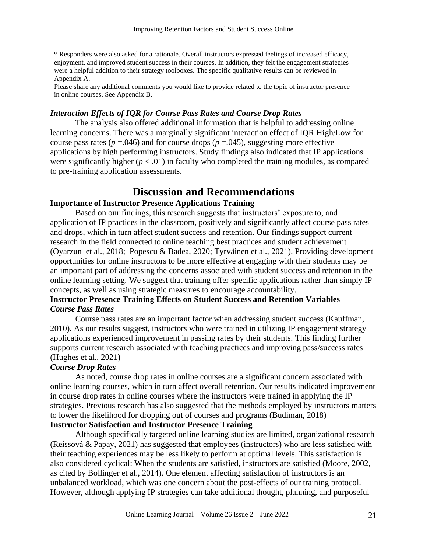\* Responders were also asked for a rationale. Overall instructors expressed feelings of increased efficacy, enjoyment, and improved student success in their courses. In addition, they felt the engagement strategies were a helpful addition to their strategy toolboxes. The specific qualitative results can be reviewed in Appendix A.

Please share any additional comments you would like to provide related to the topic of instructor presence in online courses. See Appendix B.

# *Interaction Effects of IQR for Course Pass Rates and Course Drop Rates*

The analysis also offered additional information that is helpful to addressing online learning concerns. There was a marginally significant interaction effect of IQR High/Low for course pass rates ( $p = .046$ ) and for course drops ( $p = .045$ ), suggesting more effective applications by high performing instructors. Study findings also indicated that IP applications were significantly higher  $(p < .01)$  in faculty who completed the training modules, as compared to pre-training application assessments.

# **Discussion and Recommendations**

# **Importance of Instructor Presence Applications Training**

Based on our findings, this research suggests that instructors' exposure to, and application of IP practices in the classroom, positively and significantly affect course pass rates and drops, which in turn affect student success and retention. Our findings support current research in the field connected to online teaching best practices and student achievement (Oyarzun et al., 2018; Popescu & Badea, 2020; Tyrväinen et al., 2021). Providing development opportunities for online instructors to be more effective at engaging with their students may be an important part of addressing the concerns associated with student success and retention in the online learning setting. We suggest that training offer specific applications rather than simply IP concepts, as well as using strategic measures to encourage accountability.

# **Instructor Presence Training Effects on Student Success and Retention Variables** *Course Pass Rates*

Course pass rates are an important factor when addressing student success (Kauffman, 2010). As our results suggest, instructors who were trained in utilizing IP engagement strategy applications experienced improvement in passing rates by their students. This finding further supports current research associated with teaching practices and improving pass/success rates (Hughes et al., 2021)

#### *Course Drop Rates*

As noted, course drop rates in online courses are a significant concern associated with online learning courses, which in turn affect overall retention. Our results indicated improvement in course drop rates in online courses where the instructors were trained in applying the IP strategies. Previous research has also suggested that the methods employed by instructors matters to lower the likelihood for dropping out of courses and programs (Budiman, 2018)

# **Instructor Satisfaction and Instructor Presence Training**

Although specifically targeted online learning studies are limited, organizational research (Reissová & Papay, 2021) has suggested that employees (instructors) who are less satisfied with their teaching experiences may be less likely to perform at optimal levels. This satisfaction is also considered cyclical: When the students are satisfied, instructors are satisfied (Moore, 2002, as cited by Bollinger et al., 2014). One element affecting satisfaction of instructors is an unbalanced workload, which was one concern about the post-effects of our training protocol. However, although applying IP strategies can take additional thought, planning, and purposeful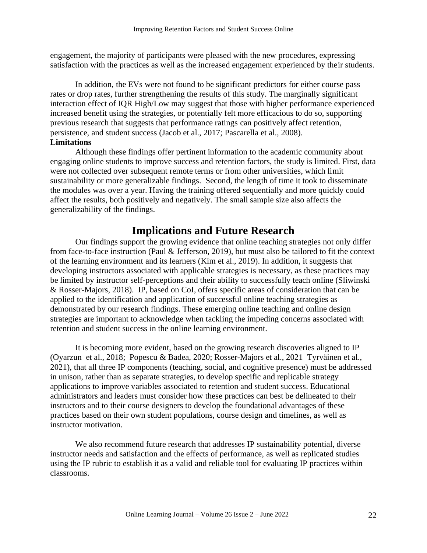engagement, the majority of participants were pleased with the new procedures, expressing satisfaction with the practices as well as the increased engagement experienced by their students.

In addition, the EVs were not found to be significant predictors for either course pass rates or drop rates, further strengthening the results of this study. The marginally significant interaction effect of IQR High/Low may suggest that those with higher performance experienced increased benefit using the strategies, or potentially felt more efficacious to do so, supporting previous research that suggests that performance ratings can positively affect retention, persistence, and student success (Jacob et al., 2017; Pascarella et al., 2008). **Limitations**

Although these findings offer pertinent information to the academic community about engaging online students to improve success and retention factors, the study is limited. First, data were not collected over subsequent remote terms or from other universities, which limit sustainability or more generalizable findings. Second, the length of time it took to disseminate the modules was over a year. Having the training offered sequentially and more quickly could affect the results, both positively and negatively. The small sample size also affects the generalizability of the findings.

# **Implications and Future Research**

Our findings support the growing evidence that online teaching strategies not only differ from face-to-face instruction (Paul & Jefferson, 2019), but must also be tailored to fit the context of the learning environment and its learners (Kim et al., 2019). In addition, it suggests that developing instructors associated with applicable strategies is necessary, as these practices may be limited by instructor self-perceptions and their ability to successfully teach online (Sliwinski & Rosser-Majors, 2018). IP, based on CoI, offers specific areas of consideration that can be applied to the identification and application of successful online teaching strategies as demonstrated by our research findings. These emerging online teaching and online design strategies are important to acknowledge when tackling the impeding concerns associated with retention and student success in the online learning environment.

It is becoming more evident, based on the growing research discoveries aligned to IP (Oyarzun et al., 2018; Popescu & Badea, 2020; Rosser-Majors et al., 2021 Tyrväinen et al., 2021), that all three IP components (teaching, social, and cognitive presence) must be addressed in unison, rather than as separate strategies, to develop specific and replicable strategy applications to improve variables associated to retention and student success. Educational administrators and leaders must consider how these practices can best be delineated to their instructors and to their course designers to develop the foundational advantages of these practices based on their own student populations, course design and timelines, as well as instructor motivation.

We also recommend future research that addresses IP sustainability potential, diverse instructor needs and satisfaction and the effects of performance, as well as replicated studies using the IP rubric to establish it as a valid and reliable tool for evaluating IP practices within classrooms.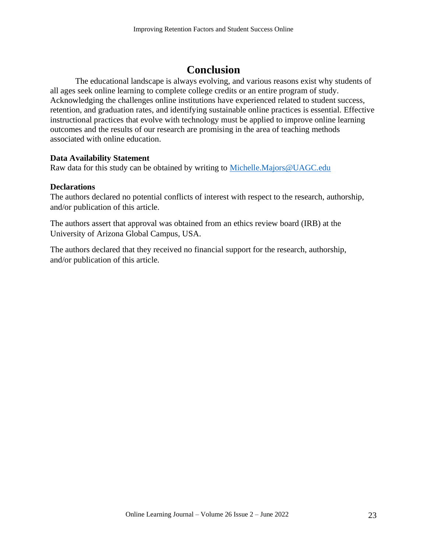# **Conclusion**

The educational landscape is always evolving, and various reasons exist why students of all ages seek online learning to complete college credits or an entire program of study. Acknowledging the challenges online institutions have experienced related to student success, retention, and graduation rates, and identifying sustainable online practices is essential. Effective instructional practices that evolve with technology must be applied to improve online learning outcomes and the results of our research are promising in the area of teaching methods associated with online education.

# **Data Availability Statement**

Raw data for this study can be obtained by writing to [Michelle.Majors@UAGC.edu](mailto:Michelle.Majors@UAGC.edu)

# **Declarations**

The authors declared no potential conflicts of interest with respect to the research, authorship, and/or publication of this article.

The authors assert that approval was obtained from an ethics review board (IRB) at the University of Arizona Global Campus, USA.

The authors declared that they received no financial support for the research, authorship, and/or publication of this article.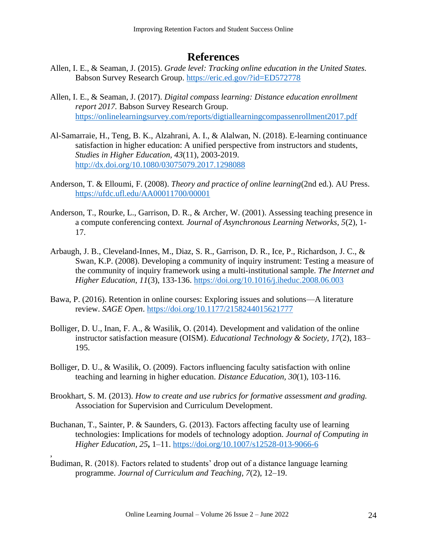# **References**

- Allen, I. E., & Seaman, J. (2015). *Grade level: Tracking online education in the United States.* Babson Survey Research Group. <https://eric.ed.gov/?id=ED572778>
- Allen, I. E., & Seaman, J. (2017). *Digital compass learning: Distance education enrollment report 2017.* Babson Survey Research Group. <https://onlinelearningsurvey.com/reports/digtiallearningcompassenrollment2017.pdf>
- Al-Samarraie, H., Teng, B. K., Alzahrani, A. I., & Alalwan, N. (2018). E-learning continuance satisfaction in higher education: A unified perspective from instructors and students, *Studies in Higher Education, 43*(11), 2003-2019. <http://dx.doi.org/10.1080/03075079.2017.1298088>
- Anderson, T. & Elloumi, F. (2008). *Theory and practice of online learning*(2nd ed.). AU Press. <https://ufdc.ufl.edu/AA00011700/00001>
- Anderson, T., Rourke, L., Garrison, D. R., & Archer, W. (2001). Assessing teaching presence in a compute conferencing context*. Journal of Asynchronous Learning Networks, 5*(2)*,* 1- 17.
- Arbaugh, J. B., Cleveland-Innes, M., Diaz, S. R., Garrison, D. R., Ice, P., Richardson, J. C., & Swan, K.P. (2008). Developing a community of inquiry instrument: Testing a measure of the community of inquiry framework using a multi-institutional sample. *The Internet and Higher Education, 11*(3), 133-136. <https://doi.org/10.1016/j.iheduc.2008.06.003>
- Bawa, P. (2016). Retention in online courses: Exploring issues and solutions—A literature review. *SAGE Open*.<https://doi.org/10.1177/2158244015621777>
- Bolliger, D. U., Inan, F. A., & Wasilik, O. (2014). Development and validation of the online instructor satisfaction measure (OISM). *Educational Technology & Society, 17*(2), 183– 195.
- Bolliger, D. U., & Wasilik, O. (2009). Factors influencing faculty satisfaction with online teaching and learning in higher education. *Distance Education, 30*(1)*,* 103-116.
- Brookhart, S. M. (2013). *How to create and use rubrics for formative assessment and grading.*  Association for Supervision and Curriculum Development.
- Buchanan, T., Sainter, P. & Saunders, G. (2013). Factors affecting faculty use of learning technologies: Implications for models of technology adoption. *Journal of Computing in Higher Education, 25***,** 1–11.<https://doi.org/10.1007/s12528-013-9066-6>
- Budiman, R. (2018). Factors related to students' drop out of a distance language learning programme. *Journal of Curriculum and Teaching, 7*(2), 12–19.

,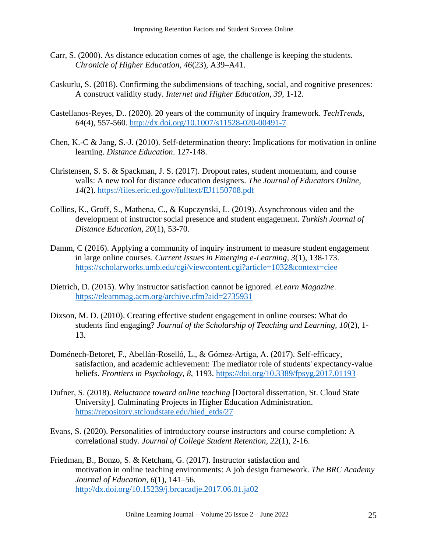- Carr, S. (2000). As distance education comes of age, the challenge is keeping the students. *Chronicle of Higher Education, 46*(23)*,* A39–A41.
- Caskurlu, S. (2018). Confirming the subdimensions of teaching, social, and cognitive presences: A construct validity study. *Internet and Higher Education, 39*, 1-12.
- Castellanos-Reyes, D.. (2020). 20 years of the community of inquiry framework. *TechTrends, 64*(4), 557-560.<http://dx.doi.org/10.1007/s11528-020-00491-7>
- Chen, K.-C & Jang, S.-J. (2010). Self-determination theory: Implications for motivation in online learning. *Distance Education*. 127-148.
- Christensen, S. S. & Spackman, J. S. (2017). Dropout rates, student momentum, and course walls: A new tool for distance education designers. *The Journal of Educators Online, 14*(2).<https://files.eric.ed.gov/fulltext/EJ1150708.pdf>
- Collins, K., Groff, S., Mathena, C., & Kupczynski, L. (2019). Asynchronous video and the development of instructor social presence and student engagement. *Turkish Journal of Distance Education, 20*(1), 53-70.
- Damm, C (2016). Applying a community of inquiry instrument to measure student engagement in large online courses. *Current Issues in Emerging e-Learning, 3*(1), 138-173. <https://scholarworks.umb.edu/cgi/viewcontent.cgi?article=1032&context=ciee>
- Dietrich, D. (2015). Why instructor satisfaction cannot be ignored. *eLearn Magazine*. <https://elearnmag.acm.org/archive.cfm?aid=2735931>
- Dixson, M. D. (2010). Creating effective student engagement in online courses: What do students find engaging? *Journal of the Scholarship of Teaching and Learning, 10*(2), 1- 13.
- Doménech-Betoret, F., Abellán-Roselló, L., & Gómez-Artiga, A. (2017). Self-efficacy, satisfaction, and academic achievement: The mediator role of students' expectancy-value beliefs. *Frontiers in Psychology*, *8*, 1193.<https://doi.org/10.3389/fpsyg.2017.01193>
- Dufner, S. (2018). *Reluctance toward online teaching* [Doctoral dissertation, St. Cloud State University]*.* Culminating Projects in Higher Education Administration*.*  [https://repository.stcloudstate.edu/hied\\_etds/27](https://repository.stcloudstate.edu/hied_etds/27)
- Evans, S. (2020). Personalities of introductory course instructors and course completion: A correlational study. *Journal of College Student Retention, 22*(1), 2-16.
- Friedman, B., Bonzo, S. & Ketcham, G. (2017). Instructor satisfaction and motivation in online teaching environments: A job design framework. *The BRC Academy Journal of Education, 6*(1)*,* 141–56. <http://dx.doi.org/10.15239/j.brcacadje.2017.06.01.ja02>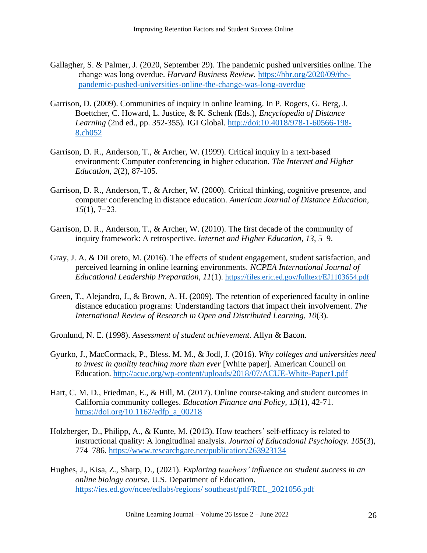- Gallagher, S. & Palmer, J. (2020, September 29). The pandemic pushed universities online. The change was long overdue. *Harvard Business Review.* [https://hbr.org/2020/09/the](https://hbr.org/2020/09/the-pandemic-pushed-universities-online-the-change-was-long-overdue)[pandemic-pushed-universities-online-the-change-was-long-overdue](https://hbr.org/2020/09/the-pandemic-pushed-universities-online-the-change-was-long-overdue)
- Garrison, D. (2009). Communities of inquiry in online learning. In P. Rogers, G. Berg, J. Boettcher, C. Howard, L. Justice, & K. Schenk (Eds.), *Encyclopedia of Distance Learning* (2nd ed., pp. 352-355)*.* IGI Global. [http://doi:10.4018/978-1-60566-198-](http://doi:10.4018/978-1-60566-198-8.ch052) [8.ch052](http://doi:10.4018/978-1-60566-198-8.ch052)
- Garrison, D. R., Anderson, T., & Archer, W. (1999). Critical inquiry in a text-based environment: Computer conferencing in higher education. *The Internet and Higher Education, 2*(2), 87-105.
- Garrison, D. R., Anderson, T., & Archer, W. (2000). Critical thinking, cognitive presence, and computer conferencing in distance education. *American Journal of Distance Education, 15*(1), 7−23.
- Garrison, D. R., Anderson, T., & Archer, W. (2010). The first decade of the community of inquiry framework: A retrospective. *Internet and Higher Education*, *13*, 5–9.
- Gray, J. A. & DiLoreto, M. (2016). The effects of student engagement, student satisfaction, and perceived learning in online learning environments. *NCPEA International Journal of Educational Leadership Preparation, 11*(1). <https://files.eric.ed.gov/fulltext/EJ1103654.pdf>
- Green, T., Alejandro, J., & Brown, A. H. (2009). The retention of experienced faculty in online distance education programs: Understanding factors that impact their involvement. *The International Review of Research in Open and Distributed Learning, 10*(3)*.*
- Gronlund, N. E. (1998). *Assessment of student achievement*. Allyn & Bacon.
- Gyurko, J., MacCormack, P., Bless. M. M., & Jodl, J. (2016). *Why colleges and universities need to invest in quality teaching more than ever* [White paper]. American Council on Education.<http://acue.org/wp-content/uploads/2018/07/ACUE-White-Paper1.pdf>
- Hart, C. M. D., Friedman, E., & Hill, M. (2017). Online course-taking and student outcomes in California community colleges. *Education Finance and Policy, 13*(1), 42-71. [https://doi.org/10.1162/edfp\\_a\\_00218](https://doi.org/10.1162/edfp_a_00218)
- Holzberger, D., Philipp, A., & Kunte, M. (2013). How teachers' self-efficacy is related to instructional quality: A longitudinal analysis. *Journal of Educational Psychology. 105*(3), 774–786. <https://www.researchgate.net/publication/263923134>
- Hughes, J., Kisa, Z., Sharp, D., (2021). *Exploring teachers' influence on student success in an online biology course.* U.S. Department of Education. [https://ies.ed.gov/ncee/edlabs/regions/ southeast/pdf/REL\\_2021056.pdf](https://ies.ed.gov/ncee/edlabs/regions/%20southeast/pdf/REL_2021056.pdf)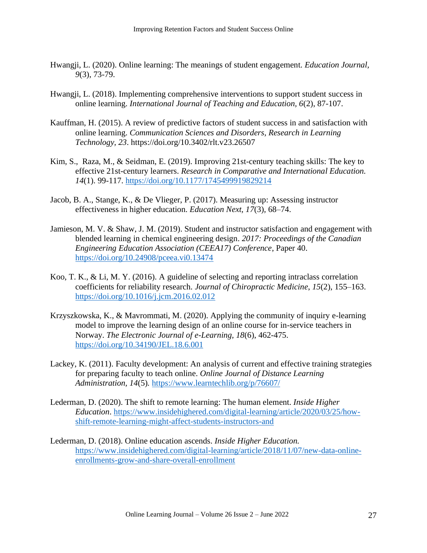- Hwangji, L. (2020). Online learning: The meanings of student engagement. *Education Journal, 9*(3), 73-79.
- Hwangji, L. (2018). Implementing comprehensive interventions to support student success in online learning. *International Journal of Teaching and Education, 6*(2), 87-107.
- Kauffman, H. (2015). A review of predictive factors of student success in and satisfaction with online learning. *Communication Sciences and Disorders, Research in Learning Technology, 23*. https://doi.org/10.3402/rlt.v23.26507
- Kim, S., Raza, M., & Seidman, E. (2019). Improving 21st-century teaching skills: The key to effective 21st-century learners. *Research in Comparative and International Education. 14*(1). 99-117.<https://doi.org/10.1177/1745499919829214>
- Jacob, B. A., Stange, K., & De Vlieger, P. (2017). Measuring up: Assessing instructor effectiveness in higher education. *Education Next, 17*(3)*,* 68–74.
- Jamieson, M. V. & Shaw, J. M. (2019). Student and instructor satisfaction and engagement with blended learning in chemical engineering design. *2017: Proceedings of the Canadian Engineering Education Association (CEEA17) Conference*, Paper 40. <https://doi.org/10.24908/pceea.vi0.13474>
- Koo, T. K., & Li, M. Y. (2016). A guideline of selecting and reporting intraclass correlation coefficients for reliability research. *Journal of Chiropractic Medicine*, *15*(2), 155–163. <https://doi.org/10.1016/j.jcm.2016.02.012>
- Krzyszkowska, K., & Mavrommati, M. (2020). Applying the community of inquiry e-learning model to improve the learning design of an online course for in-service teachers in Norway. *The Electronic Journal of e-Learning, 18*(6), 462-475. <https://doi.org/10.34190/JEL.18.6.001>
- Lackey, K. (2011). Faculty development: An analysis of current and effective training strategies for preparing faculty to teach online. *Online Journal of Distance Learning Administration, 14*(5)*.* <https://www.learntechlib.org/p/76607/>
- Lederman, D. (2020). The shift to remote learning: The human element. *Inside Higher Education*. [https://www.insidehighered.com/digital-learning/article/2020/03/25/how](https://www.insidehighered.com/digital-learning/article/2020/03/25/how-shift-remote-learning-might-affect-students-instructors-and)[shift-remote-learning-might-affect-students-instructors-and](https://www.insidehighered.com/digital-learning/article/2020/03/25/how-shift-remote-learning-might-affect-students-instructors-and)
- Lederman, D. (2018). Online education ascends. *Inside Higher Education.* [https://www.insidehighered.com/digital-learning/article/2018/11/07/new-data-online](https://www.insidehighered.com/digital-learning/article/2018/11/07/new-data-online-enrollments-grow-and-share-overall-enrollment)[enrollments-grow-and-share-overall-enrollment](https://www.insidehighered.com/digital-learning/article/2018/11/07/new-data-online-enrollments-grow-and-share-overall-enrollment)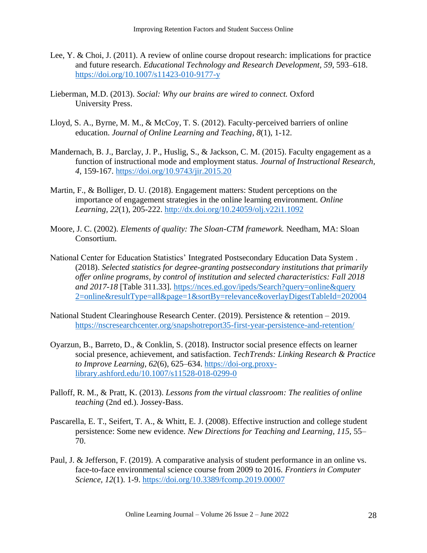- Lee, Y. & Choi, J. (2011). A review of online course dropout research: implications for practice and future research. *Educational Technology and Research Development, 59*, 593–618. <https://doi.org/10.1007/s11423-010-9177-y>
- Lieberman, M.D. (2013). *Social: Why our brains are wired to connect.* Oxford University Press.
- Lloyd, S. A., Byrne, M. M., & McCoy, T. S. (2012). Faculty-perceived barriers of online education. *Journal of Online Learning and Teaching*, *8*(1), 1-12.
- Mandernach, B. J., Barclay, J. P., Huslig, S., & Jackson, C. M. (2015). Faculty engagement as a function of instructional mode and employment status. *Journal of Instructional Research, 4*, 159-167. <https://doi.org/10.9743/jir.2015.20>
- Martin, F., & Bolliger, D. U. (2018). Engagement matters: Student perceptions on the importance of engagement strategies in the online learning environment. *Online Learning, 22*(1)*,* 205-222.<http://dx.doi.org/10.24059/olj.v22i1.1092>
- Moore, J. C. (2002). *Elements of quality: The Sloan-CTM framework.* Needham, MA: Sloan Consortium.
- National Center for Education Statistics' Integrated Postsecondary Education Data System . (2018). *Selected statistics for degree-granting postsecondary institutions that primarily offer online programs, by control of institution and selected characteristics: Fall 2018 and 2017-18* [Table 311.33]. [https://nces.ed.gov/ipeds/Search?query=online&query](https://nces.ed.gov/ipeds/Search?query=online&query%202=online&resultType=all&page=1&sortBy=relevance&overlayDigestTableId=202004)  [2=online&resultType=all&page=1&sortBy=relevance&overlayDigestTableId=202004](https://nces.ed.gov/ipeds/Search?query=online&query%202=online&resultType=all&page=1&sortBy=relevance&overlayDigestTableId=202004)
- National Student Clearinghouse Research Center. (2019). Persistence & retention 2019. <https://nscresearchcenter.org/snapshotreport35-first-year-persistence-and-retention/>
- Oyarzun, B., Barreto, D., & Conklin, S. (2018). Instructor social presence effects on learner social presence, achievement, and satisfaction. *TechTrends: Linking Research & Practice to Improve Learning*, *62*(6), 625–634. [https://doi-org.proxy](https://doi-org.proxy-library.ashford.edu/10.1007/s11528-018-0299-0)[library.ashford.edu/10.1007/s11528-018-0299-0](https://doi-org.proxy-library.ashford.edu/10.1007/s11528-018-0299-0)
- Palloff, R. M., & Pratt, K. (2013). *Lessons from the virtual classroom: The realities of online teaching* (2nd ed.). Jossey-Bass.
- Pascarella, E. T., Seifert, T. A., & Whitt, E. J. (2008). Effective instruction and college student persistence: Some new evidence. *New Directions for Teaching and Learning, 115,* 55– 70.
- Paul, J. & Jefferson, F. (2019). A comparative analysis of student performance in an online vs. face-to-face environmental science course from 2009 to 2016. *Frontiers in Computer Science, 12*(1). 1-9.<https://doi.org/10.3389/fcomp.2019.00007>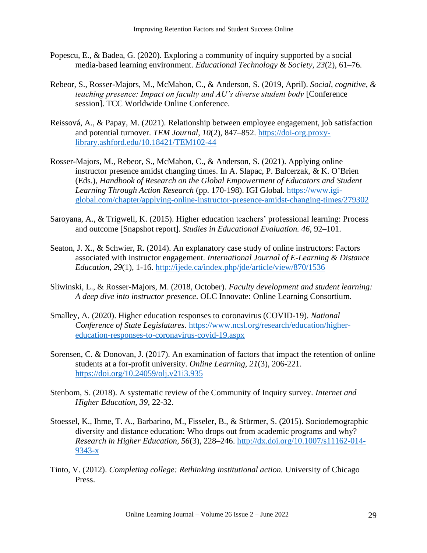- Popescu, E., & Badea, G. (2020). Exploring a community of inquiry supported by a social media-based learning environment. *Educational Technology & Society, 23*(2), 61–76.
- Rebeor, S., Rosser-Majors, M., McMahon, C., & Anderson, S. (2019, April). *Social, cognitive, & teaching presence: Impact on faculty and AU's diverse student body* [Conference session]. TCC Worldwide Online Conference.
- Reissová, A., & Papay, M. (2021). Relationship between employee engagement, job satisfaction and potential turnover. *TEM Journal, 10*(2), 847–852. [https://doi-org.proxy](https://doi-org.proxy-library.ashford.edu/10.18421/TEM102-44)[library.ashford.edu/10.18421/TEM102-44](https://doi-org.proxy-library.ashford.edu/10.18421/TEM102-44)
- Rosser-Majors, M., Rebeor, S., McMahon, C., & Anderson, S. (2021). Applying online instructor presence amidst changing times. In A. Slapac, P. Balcerzak, & K. O'Brien (Eds.), *Handbook of Research on the Global Empowerment of Educators and Student Learning Through Action Research* (pp. 170-198). IGI Global. [https://www.igi](https://www.igi-global.com/chapter/applying-online-instructor-presence-amidst-changing-times/279302)[global.com/chapter/applying-online-instructor-presence-amidst-changing-times/279302](https://www.igi-global.com/chapter/applying-online-instructor-presence-amidst-changing-times/279302)
- Saroyana, A., & Trigwell, K. (2015). Higher education teachers' professional learning: Process and outcome [Snapshot report]. *Studies in Educational Evaluation. 46,* 92–101.
- Seaton, J. X., & Schwier, R. (2014). An explanatory case study of online instructors: Factors associated with instructor engagement. *International Journal of E-Learning & Distance Education, 29*(1)*,* 1-16.<http://ijede.ca/index.php/jde/article/view/870/1536>
- Sliwinski, L., & Rosser-Majors, M. (2018, October). *Faculty development and student learning: A deep dive into instructor presence*. OLC Innovate: Online Learning Consortium.
- Smalley, A. (2020). Higher education responses to coronavirus (COVID-19). *National Conference of State Legislatures.* [https://www.ncsl.org/research/education/higher](https://www.ncsl.org/research/education/higher-education-responses-to-coronavirus-covid-19.aspx)[education-responses-to-coronavirus-covid-19.aspx](https://www.ncsl.org/research/education/higher-education-responses-to-coronavirus-covid-19.aspx)
- Sorensen, C. & Donovan, J. (2017). An examination of factors that impact the retention of online students at a for-profit university. *Online Learning, 21*(3), 206-221. <https://doi.org/10.24059/olj.v21i3.935>
- Stenbom, S. (2018). A systematic review of the Community of Inquiry survey. *Internet and Higher Education, 39*, 22-32.
- Stoessel, K., Ihme, T. A., Barbarino, M., Fisseler, B., & Stürmer, S. (2015). Sociodemographic diversity and distance education: Who drops out from academic programs and why? *Research in Higher Education, 56*(3), 228–246. [http://dx.doi.org/10.1007/s11162-014-](http://dx.doi.org/10.1007/s11162-014-9343-x) [9343-x](http://dx.doi.org/10.1007/s11162-014-9343-x)
- Tinto, V. (2012). *Completing college: Rethinking institutional action.* University of Chicago Press.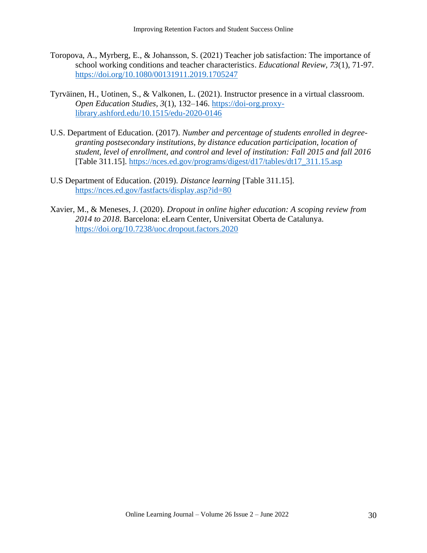- Toropova, A., Myrberg, E., & Johansson, S. (2021) Teacher job satisfaction: The importance of school working conditions and teacher characteristics. *Educational Review, 73*(1), 71-97. [https://doi.org/10.1080/00131911.2019.1705247](https://bpiedu-my.sharepoint.com/personal/michelle_majors_ashford_edu/Documents/https​:/doi.org/10.1080/00131911.2019.1705247)
- Tyrväinen, H., Uotinen, S., & Valkonen, L. (2021). Instructor presence in a virtual classroom. *Open Education Studies, 3*(1), 132–146. [https://doi-org.proxy](https://doi-org.proxy-library.ashford.edu/10.1515/edu-2020-0146)[library.ashford.edu/10.1515/edu-2020-0146](https://doi-org.proxy-library.ashford.edu/10.1515/edu-2020-0146)
- U.S. Department of Education. (2017). *Number and percentage of students enrolled in degreegranting postsecondary institutions, by distance education participation, location of student, level of enrollment, and control and level of institution: Fall 2015 and fall 2016* [Table 311.15]. [https://nces.ed.gov/programs/digest/d17/tables/dt17\\_311.15.asp](https://nces.ed.gov/programs/digest/d17/tables/dt17_311.15.asp)
- U.S Department of Education. (2019). *Distance learning* [Table 311.15]. <https://nces.ed.gov/fastfacts/display.asp?id=80>
- Xavier, M., & Meneses, J. (2020). *Dropout in online higher education: A scoping review from 2014 to 2018*. Barcelona: eLearn Center, Universitat Oberta de Catalunya. <https://doi.org/10.7238/uoc.dropout.factors.2020>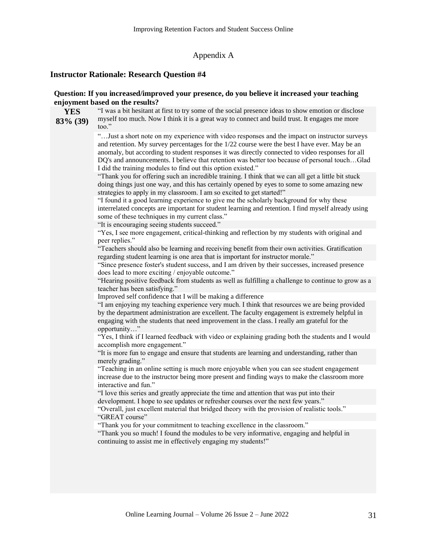#### Appendix A

#### **Instructor Rationale: Research Question #4**

**YES**

#### **Question: If you increased/improved your presence, do you believe it increased your teaching enjoyment based on the results?**

**83% (39)** "I was a bit hesitant at first to try some of the social presence ideas to show emotion or disclose myself too much. Now I think it is a great way to connect and build trust. It engages me more too."

> "…Just a short note on my experience with video responses and the impact on instructor surveys and retention. My survey percentages for the 1/22 course were the best I have ever. May be an anomaly, but according to student responses it was directly connected to video responses for all DQ's and announcements. I believe that retention was better too because of personal touch…Glad I did the training modules to find out this option existed."

"Thank you for offering such an incredible training. I think that we can all get a little bit stuck doing things just one way, and this has certainly opened by eyes to some to some amazing new strategies to apply in my classroom. I am so excited to get started!"

"I found it a good learning experience to give me the scholarly background for why these interrelated concepts are important for student learning and retention. I find myself already using some of these techniques in my current class."

"It is encouraging seeing students succeed."

"Yes, I see more engagement, critical-thinking and reflection by my students with original and peer replies."

"Teachers should also be learning and receiving benefit from their own activities. Gratification regarding student learning is one area that is important for instructor morale."

"Since presence foster's student success, and I am driven by their successes, increased presence does lead to more exciting / enjoyable outcome."

"Hearing positive feedback from students as well as fulfilling a challenge to continue to grow as a teacher has been satisfying."

Improved self confidence that I will be making a difference

"I am enjoying my teaching experience very much. I think that resources we are being provided by the department administration are excellent. The faculty engagement is extremely helpful in engaging with the students that need improvement in the class. I really am grateful for the opportunity…"

"Yes, I think if I learned feedback with video or explaining grading both the students and I would accomplish more engagement."

"It is more fun to engage and ensure that students are learning and understanding, rather than merely grading."

"Teaching in an online setting is much more enjoyable when you can see student engagement increase due to the instructor being more present and finding ways to make the classroom more interactive and fun."

"I love this series and greatly appreciate the time and attention that was put into their development. I hope to see updates or refresher courses over the next few years."

"Overall, just excellent material that bridged theory with the provision of realistic tools." "GREAT course"

"Thank you for your commitment to teaching excellence in the classroom."

"Thank you so much! I found the modules to be very informative, engaging and helpful in continuing to assist me in effectively engaging my students!"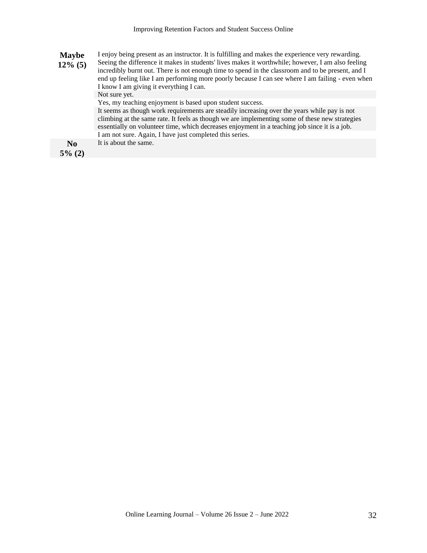| I enjoy being present as an instructor. It is fulfilling and makes the experience very rewarding.<br><b>Maybe</b><br>Seeing the difference it makes in students' lives makes it worthwhile; however, I am also feeling<br>$12\%$ (5)<br>incredibly burnt out. There is not enough time to spend in the classroom and to be present, and I<br>end up feeling like I am performing more poorly because I can see where I am failing - even when<br>I know I am giving it everything I can. |                                                                                                                                                                                                                                                                                                 |  |  |  |
|------------------------------------------------------------------------------------------------------------------------------------------------------------------------------------------------------------------------------------------------------------------------------------------------------------------------------------------------------------------------------------------------------------------------------------------------------------------------------------------|-------------------------------------------------------------------------------------------------------------------------------------------------------------------------------------------------------------------------------------------------------------------------------------------------|--|--|--|
|                                                                                                                                                                                                                                                                                                                                                                                                                                                                                          | Not sure yet.                                                                                                                                                                                                                                                                                   |  |  |  |
|                                                                                                                                                                                                                                                                                                                                                                                                                                                                                          | Yes, my teaching enjoyment is based upon student success.                                                                                                                                                                                                                                       |  |  |  |
|                                                                                                                                                                                                                                                                                                                                                                                                                                                                                          | It seems as though work requirements are steadily increasing over the years while pay is not<br>climbing at the same rate. It feels as though we are implementing some of these new strategies<br>essentially on volunteer time, which decreases enjoyment in a teaching job since it is a job. |  |  |  |
|                                                                                                                                                                                                                                                                                                                                                                                                                                                                                          | I am not sure. Again, I have just completed this series.                                                                                                                                                                                                                                        |  |  |  |
| N <sub>0</sub><br>$F^{\Lambda}$ (A)                                                                                                                                                                                                                                                                                                                                                                                                                                                      | It is about the same.                                                                                                                                                                                                                                                                           |  |  |  |

**5% (2)**